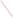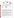## **THE ENVIRONMENTAL TECHNOLOGY VERIFICATION**







# **ETV JOINT VERIFICATION STATEMENT**

| <b>TECHNOLOGY TYPE:</b>          | <b>GROUNDWATER SAMPLING TECHNOLOGIES</b>           |                                              |
|----------------------------------|----------------------------------------------------|----------------------------------------------|
| <b>APPLICATION:</b>              | <b>VOC-CONTAMINATED WATER SAMPLING</b>             |                                              |
| TECHNOLOGY NAME: Multiprobe 100  |                                                    |                                              |
| <b>COMPANY:</b>                  | <b>Burge Environmental</b>                         |                                              |
| <b>ADDRESS:</b>                  | 6100 South Maple Ave. Suite 114<br>Tempe, AZ 85283 | PHONE: (602) 968-5141<br>FAX: (602) 894-1675 |
| <b>WEBSITE:</b><br><b>EMAIL:</b> | www.burgenv.com<br>burgenv@primenet.com            |                                              |

The U.S. Environmental Protection Agency (EPA) has created the Environmental Technology Verification Program (ETV) to facilitate the deployment of innovative or improved environmental technologies through performance verification and dissemination of information. The goal of the ETV Program is to further environmental protection by substantially accelerating the acceptance and use of improved and cost-effective technologies. ETV seeks to achieve this goal by providing high-quality, peer-reviewed data on technology performance to those involved in the design, distribution, financing, permitting, purchase, and use of environmental technologies.

ETV works in partnership with recognized standards and testing organizations and stakeholder groups consisting of regulators, buyers, and vendor organizations, with the full participation of individual technology developers. The program evaluates the performance of innovative technologies by developing test plans that are responsive to the needs of stakeholders, conducting field or laboratory tests (as appropriate), collecting and analyzing data, and preparing peer-reviewed reports. All evaluations are conducted in accordance with rigorous quality assurance protocols to ensure that data of known and adequate quality are generated and that the results are defensible.

The Site Characterization and Monitoring Technologies Pilot, one of 12 technology areas under ETV, is administered by EPA's National Exposure Research Laboratory. Sandia National Laboratories, a Department of Energy laboratory, is one of the verification testing organizations within the ETV Site Characterization and Monitoring Pilot. Sandia collaborated with personnel from the US Geological Survey to conduct a verification study of groundwater sampling technologies. This verification statement provides a summary of the results from a verification test of the Multiprobe 100 sampler manufactured by Burge Environmental.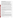#### **DEMONSTRATION DESCRIPTION**

In August 1999, the performance of six groundwater sampling devices was evaluated at the US Geological Survey Hydrological Instrumentation Facility at the NASA Stennis Space Center in southwestern Mississippi. Each technology was independently evaluated in order to assess its performance in the collection of volatile organic compound- (VOC) contaminated water.

The verification test design incorporated the use of a 5-inch diameter,100-foot standpipe at the USGS facility. The standpipe, serving as an "above-ground" well, was filled with tap water spiked with various concentration levels of six target volatile organic compounds. The target compounds (1,2 dichloroethane, 1,1-dichloroethene, trichloroethene, benzene, 1,1,2-trichloroethane, and tetrachloroethene) were chosen to represent the range of VOC volatility likely to be encountered in normal sampler use. Water sampling ports along the exterior of the standpipe were used to collect reference samples at the same time that groundwater sampling technologies collected samples from the interior of the pipe. A total of seven trials were carried out at the standpipe. The trials included the collection of low ( $\sim$ 20 µg/L) and high ( $\sim$ 200 µg/L) concentrations of the six target VOC compounds in water at sampler depths ranging from 17 to 91 feet. A blank sampling trial was also included in the test matrix.

The standpipe trials were supplemented with additional trials at groundwater monitoring wells in the vicinity of sites with VOC-contaminated groundwater at the NASA Stennis facility. The sampling devices were deployed in a number of 2-inch and 4-inch wells, along with co-located submersible electric gear pumps as reference samplers. The principal contaminant at the onsite monitoring wells was trichloroethene. The onsite monitoring provided an opportunity to observe the operation of the sampling system under typical field-use conditions.

All technology and reference samples were analyzed by two identical field-portable gas chromatographmass spectrometer (GC/MS) systems that were located at the test site during the verification tests. The GC/MS analytical method used was a variation of EPA Method 8260 purge-and-trap GC/MS, incorporating a headspace sampling system in lieu of a purge and trap unit. The overall performance of the groundwater sampling technologies was assessed by evaluating sampler precision and comparability with reference samples. Other logistical aspects of field deployment and potential applications of the technology were also considered in the evaluation.

Details of the demonstration, including an evaluation of the sampler's performance, may be found in the report entitled *Environmental Technology Verification Report: Burge Environmental Inc., Multiprobe 100,* EPA/600/R-00/074.

### **TECHNOLOGY DESCRIPTION**

The Multiprobe 100 is a discrete, multi-level sampler that is designed for permanent deployment in a well. The sampler is designed for use with a complementary automated wellhead analyzer for TCE called the Optrode. Only the sampling module was evaluated in this test. Optrode performance was not evaluated in this demonstration.

The Multiprobe 100 consists of two units with tubing and wiring interconnections. A upper receiving module which is deployed at the wellhead on top of the well is 18 inches long, 3.25 inches in diameter, and weighs 3 pounds. The lower sampling module, which is inserted into the water column inside the well, is 12 inches long, 3.25 inches in diameter and also weighs 3 pounds. The system is constructed of Teflon, borosilicate glass, stainless steel and Delrin®, a solvent-resistant, acetal homopolymer resin. Electrical solenoid valves are used to select the sampling level and control gas flow to the sampler. Water level sensors in the water chambers of both modules are used to trigger valve changes during the sampling process. A small, battery-operated microprocessor controller is used to control the valves used during the sampling process.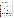The lower sampling module is filled with water from the selected sampling level by hydrostatic pressure. The water sample is then pushed up to the upper receiving module by pressurizing the sampling chamber headspace with nitrogen gas. Samples can be manually dispensed into analysis vials from the upper receiving module, however, the system is primarily intended for interconnection with automated analyzers, such as the Optrode, which would also be positioned at the wellhead.

The system also has the ability to purge volatile organic compounds from water *in situ* with subsequent analysis by sensors, such as the Optrode, that are positioned in the headspace or at the wellhead. Following the purge, the vapors can also be transported via tubing to the surface for collection and analysis. The *in situ* purge capability of the sampler was not tested in this investigation.

#### **VERIFICATION OF PERFORMANCE**

The following performance characteristics of the Multiprobe 100 groundwater sampling system were observed:

*Precision:* The precision of the sampler was determined through the collection of a series of replicate samples from two standpipe trials using low  $(\sim 20 \text{ µg/L})$  and high  $(\sim 200 \text{ µg/L})$  VOC concentrations at 17, 35, 53 and 91-foot depths. Each trial included 6 target VOCs at each of the sampling depths, resulting in a total of 24 cases per trial. Multiprobe 100 precision, represented by the relative standard deviation, for all compounds at all concentrations and sampling depths evaluated in this study ranged from 3 to 21% with a median value of 9.4 %. In 27 of the 48 cases, the Multiprobe 100 was less precise than the reference sample set. The F-ratio test was used to assess whether precision differences between Multiprobe 100 and reference samples were statistically significant. Test results showed that precision differences between the Multiprobe 100 and reference samples were statistically insignificant at the 95% confidence level in 46 of the 48 test cases.

*Comparability with a Reference:* Multiprobe 100 sampler results from the standpipe trials were compared with results obtained from reference samples that were collected at the same time. Both Multiprobe 100 and reference samples were analyzed by the same method using the same GC/MS system. Sampler comparability is expressed as percent difference relative to the reference data. Sampler differences for all target VOC compounds at all concentrations and sampler depths in this study ranged from -30 to 15%, with a median percent difference of -5%. The t-test for sample means was used to assess whether the observed differences between Multiprobe 100 and reference samplers were statistically significant. These tests revealed that in 31 of 48 trials, differences were statistically indistinguishable from 0% at the 95% confidence level. Of the remaining 17 cases that were statistically different from 0%, 16 showed a negative Multiprobe 100 sampler bias. Statistically significant negative sampler bias ranged from  $-10$  to  $-30\%$ .

*Versatility:* Sampler versatility is the consistency with which it performed with various target compounds, concentration levels, and sampling depths. In terms of precision, Multiprobe 100 performance was generally consistent at the range of concentrations and collection depths evaluated in this study. The Multiprobe 100 showed a trend toward negative bias for 11DCE and TCE and the sampler showed consistently negative bias for PCE at all concentrations and sampler depths. As a result of its physical size, the Multiprobe 100 cannot be installed in wells with diameters less than 4 inches. In light of these considerations, the Multiprobe 100 sampler in its aqueous sampling mode is judged to have limited versatility.

*Logistical Requirements:* The Multiprobe 100 is designed for permanent installation in 4-inch or larger wells. The installation would require either custom installation by Burge Environmental personnel or user installation following approximately two days of training. Although the system is optimized for